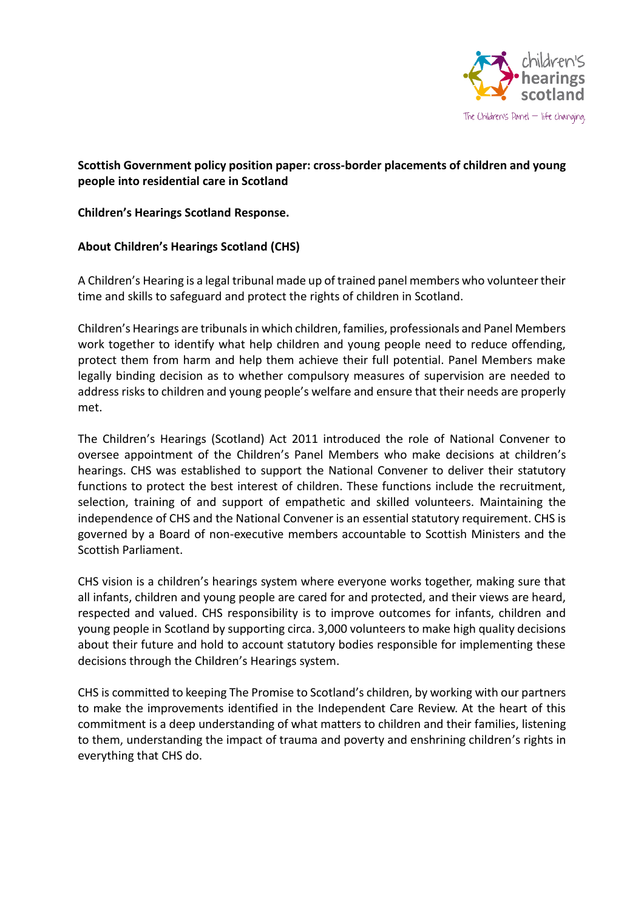

## **Scottish Government policy position paper: cross-border placements of children and young people into residential care in Scotland**

**Children's Hearings Scotland Response.**

## **About Children's Hearings Scotland (CHS)**

A Children's Hearing is a legal tribunal made up of trained panel members who volunteer their time and skills to safeguard and protect the rights of children in Scotland.

Children's Hearings are tribunalsin which children, families, professionals and Panel Members work together to identify what help children and young people need to reduce offending, protect them from harm and help them achieve their full potential. Panel Members make legally binding decision as to whether compulsory measures of supervision are needed to address risks to children and young people's welfare and ensure that their needs are properly met.

The Children's Hearings (Scotland) Act 2011 introduced the role of National Convener to oversee appointment of the Children's Panel Members who make decisions at children's hearings. CHS was established to support the National Convener to deliver their statutory functions to protect the best interest of children. These functions include the recruitment, selection, training of and support of empathetic and skilled volunteers. Maintaining the independence of CHS and the National Convener is an essential statutory requirement. CHS is governed by a Board of non-executive members accountable to Scottish Ministers and the Scottish Parliament.

CHS vision is a children's hearings system where everyone works together, making sure that all infants, children and young people are cared for and protected, and their views are heard, respected and valued. CHS responsibility is to improve outcomes for infants, children and young people in Scotland by supporting circa. 3,000 volunteers to make high quality decisions about their future and hold to account statutory bodies responsible for implementing these decisions through the Children's Hearings system.

CHS is committed to keeping The Promise to Scotland's children, by working with our partners to make the improvements identified in the Independent Care Review. At the heart of this commitment is a deep understanding of what matters to children and their families, listening to them, understanding the impact of trauma and poverty and enshrining children's rights in everything that CHS do.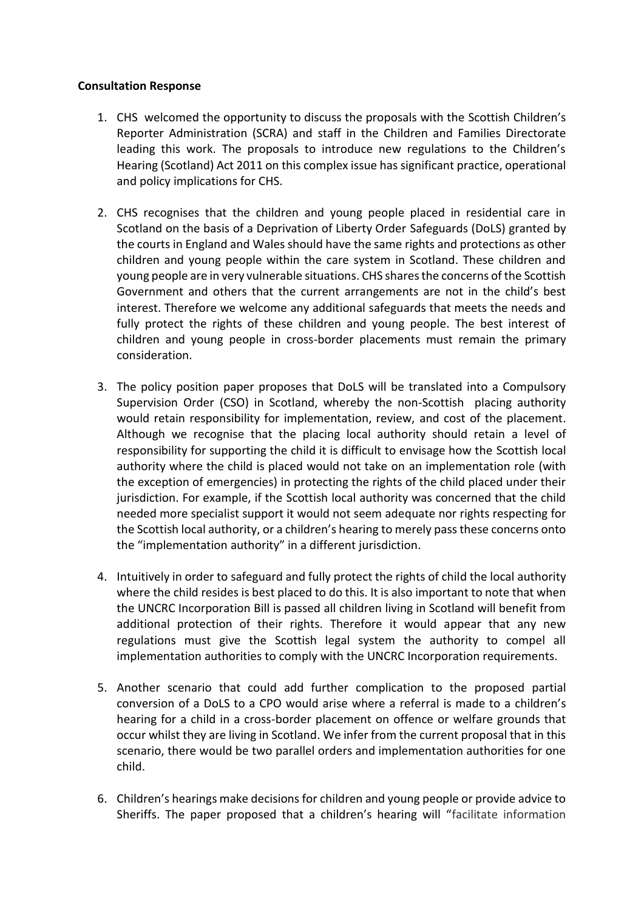## **Consultation Response**

- 1. CHS welcomed the opportunity to discuss the proposals with the Scottish Children's Reporter Administration (SCRA) and staff in the Children and Families Directorate leading this work. The proposals to introduce new regulations to the Children's Hearing (Scotland) Act 2011 on this complex issue has significant practice, operational and policy implications for CHS.
- 2. CHS recognises that the children and young people placed in residential care in Scotland on the basis of a Deprivation of Liberty Order Safeguards (DoLS) granted by the courts in England and Wales should have the same rights and protections as other children and young people within the care system in Scotland. These children and young people are in very vulnerable situations. CHS shares the concerns of the Scottish Government and others that the current arrangements are not in the child's best interest. Therefore we welcome any additional safeguards that meets the needs and fully protect the rights of these children and young people. The best interest of children and young people in cross-border placements must remain the primary consideration.
- 3. The policy position paper proposes that DoLS will be translated into a Compulsory Supervision Order (CSO) in Scotland, whereby the non-Scottish placing authority would retain responsibility for implementation, review, and cost of the placement. Although we recognise that the placing local authority should retain a level of responsibility for supporting the child it is difficult to envisage how the Scottish local authority where the child is placed would not take on an implementation role (with the exception of emergencies) in protecting the rights of the child placed under their jurisdiction. For example, if the Scottish local authority was concerned that the child needed more specialist support it would not seem adequate nor rights respecting for the Scottish local authority, or a children's hearing to merely pass these concerns onto the "implementation authority" in a different jurisdiction.
- 4. Intuitively in order to safeguard and fully protect the rights of child the local authority where the child resides is best placed to do this. It is also important to note that when the UNCRC Incorporation Bill is passed all children living in Scotland will benefit from additional protection of their rights. Therefore it would appear that any new regulations must give the Scottish legal system the authority to compel all implementation authorities to comply with the UNCRC Incorporation requirements.
- 5. Another scenario that could add further complication to the proposed partial conversion of a DoLS to a CPO would arise where a referral is made to a children's hearing for a child in a cross-border placement on offence or welfare grounds that occur whilst they are living in Scotland. We infer from the current proposal that in this scenario, there would be two parallel orders and implementation authorities for one child.
- 6. Children's hearings make decisions for children and young people or provide advice to Sheriffs. The paper proposed that a children's hearing will "facilitate information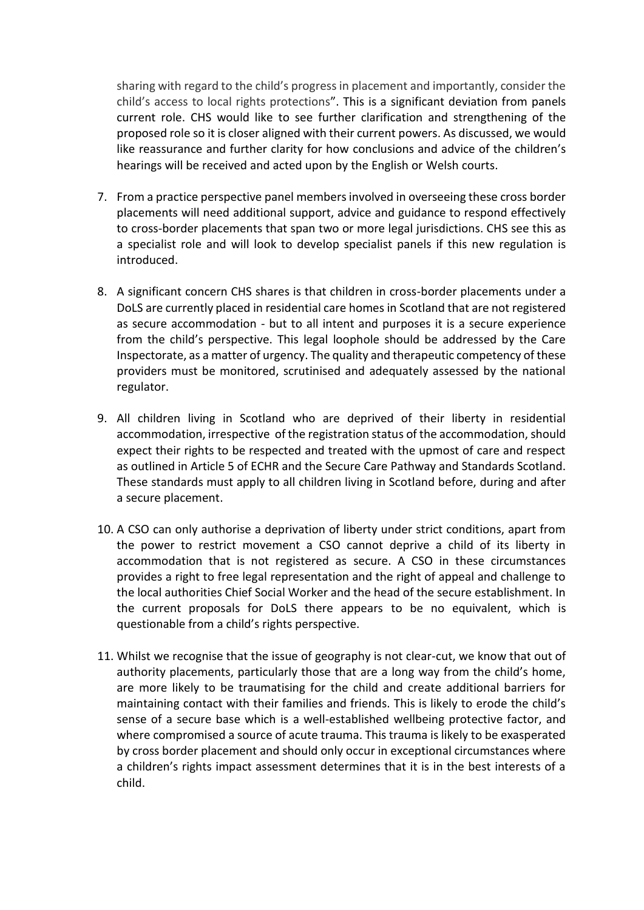sharing with regard to the child's progress in placement and importantly, consider the child's access to local rights protections". This is a significant deviation from panels current role. CHS would like to see further clarification and strengthening of the proposed role so it is closer aligned with their current powers. As discussed, we would like reassurance and further clarity for how conclusions and advice of the children's hearings will be received and acted upon by the English or Welsh courts.

- 7. From a practice perspective panel members involved in overseeing these cross border placements will need additional support, advice and guidance to respond effectively to cross-border placements that span two or more legal jurisdictions. CHS see this as a specialist role and will look to develop specialist panels if this new regulation is introduced.
- 8. A significant concern CHS shares is that children in cross-border placements under a DoLS are currently placed in residential care homes in Scotland that are not registered as secure accommodation - but to all intent and purposes it is a secure experience from the child's perspective. This legal loophole should be addressed by the Care Inspectorate, as a matter of urgency. The quality and therapeutic competency of these providers must be monitored, scrutinised and adequately assessed by the national regulator.
- 9. All children living in Scotland who are deprived of their liberty in residential accommodation, irrespective of the registration status of the accommodation, should expect their rights to be respected and treated with the upmost of care and respect as outlined in Article 5 of ECHR and the Secure Care Pathway and Standards Scotland. These standards must apply to all children living in Scotland before, during and after a secure placement.
- 10. A CSO can only authorise a deprivation of liberty under strict conditions, apart from the power to restrict movement a CSO cannot deprive a child of its liberty in accommodation that is not registered as secure. A CSO in these circumstances provides a right to free legal representation and the right of appeal and challenge to the local authorities Chief Social Worker and the head of the secure establishment. In the current proposals for DoLS there appears to be no equivalent, which is questionable from a child's rights perspective.
- 11. Whilst we recognise that the issue of geography is not clear-cut, we know that out of authority placements, particularly those that are a long way from the child's home, are more likely to be traumatising for the child and create additional barriers for maintaining contact with their families and friends. This is likely to erode the child's sense of a secure base which is a well-established wellbeing protective factor, and where compromised a source of acute trauma. This trauma is likely to be exasperated by cross border placement and should only occur in exceptional circumstances where a children's rights impact assessment determines that it is in the best interests of a child.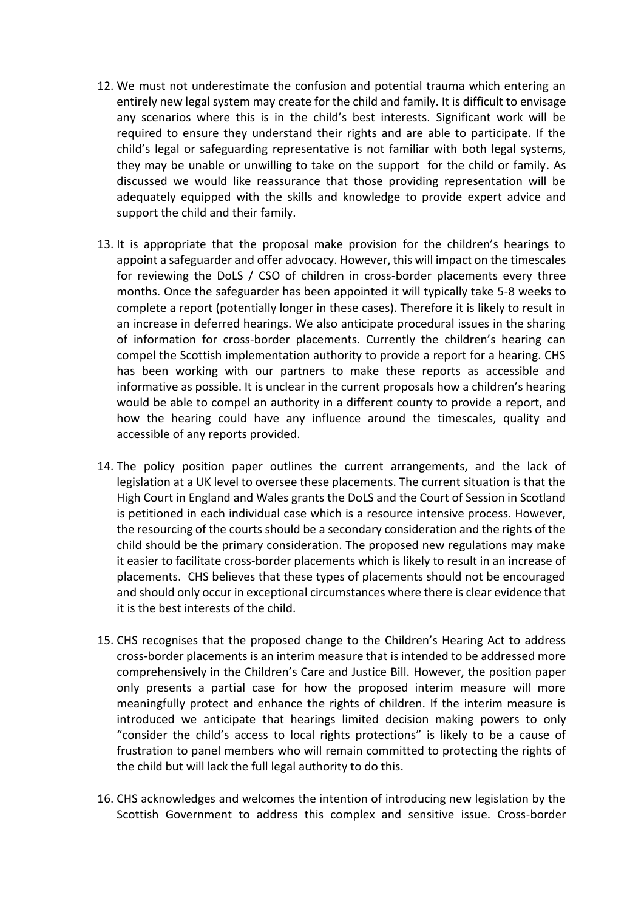- 12. We must not underestimate the confusion and potential trauma which entering an entirely new legal system may create for the child and family. It is difficult to envisage any scenarios where this is in the child's best interests. Significant work will be required to ensure they understand their rights and are able to participate. If the child's legal or safeguarding representative is not familiar with both legal systems, they may be unable or unwilling to take on the support for the child or family. As discussed we would like reassurance that those providing representation will be adequately equipped with the skills and knowledge to provide expert advice and support the child and their family.
- 13. It is appropriate that the proposal make provision for the children's hearings to appoint a safeguarder and offer advocacy. However, this will impact on the timescales for reviewing the DoLS / CSO of children in cross-border placements every three months. Once the safeguarder has been appointed it will typically take 5-8 weeks to complete a report (potentially longer in these cases). Therefore it is likely to result in an increase in deferred hearings. We also anticipate procedural issues in the sharing of information for cross-border placements. Currently the children's hearing can compel the Scottish implementation authority to provide a report for a hearing. CHS has been working with our partners to make these reports as accessible and informative as possible. It is unclear in the current proposals how a children's hearing would be able to compel an authority in a different county to provide a report, and how the hearing could have any influence around the timescales, quality and accessible of any reports provided.
- 14. The policy position paper outlines the current arrangements, and the lack of legislation at a UK level to oversee these placements. The current situation is that the High Court in England and Wales grants the DoLS and the Court of Session in Scotland is petitioned in each individual case which is a resource intensive process. However, the resourcing of the courts should be a secondary consideration and the rights of the child should be the primary consideration. The proposed new regulations may make it easier to facilitate cross-border placements which is likely to result in an increase of placements. CHS believes that these types of placements should not be encouraged and should only occur in exceptional circumstances where there is clear evidence that it is the best interests of the child.
- 15. CHS recognises that the proposed change to the Children's Hearing Act to address cross-border placements is an interim measure that is intended to be addressed more comprehensively in the Children's Care and Justice Bill. However, the position paper only presents a partial case for how the proposed interim measure will more meaningfully protect and enhance the rights of children. If the interim measure is introduced we anticipate that hearings limited decision making powers to only "consider the child's access to local rights protections" is likely to be a cause of frustration to panel members who will remain committed to protecting the rights of the child but will lack the full legal authority to do this.
- 16. CHS acknowledges and welcomes the intention of introducing new legislation by the Scottish Government to address this complex and sensitive issue. Cross-border